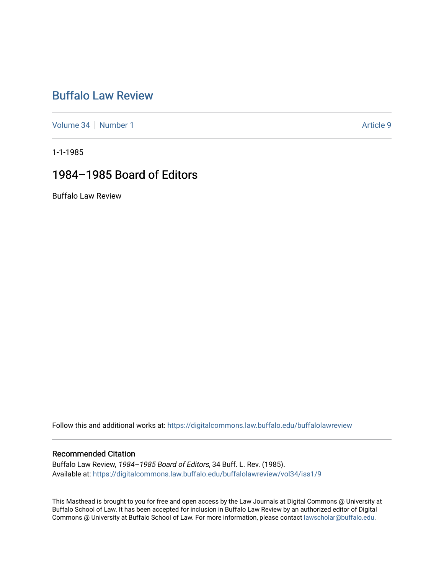## [Buffalo Law Review](https://digitalcommons.law.buffalo.edu/buffalolawreview)

[Volume 34](https://digitalcommons.law.buffalo.edu/buffalolawreview/vol34) [Number 1](https://digitalcommons.law.buffalo.edu/buffalolawreview/vol34/iss1) Article 9

1-1-1985

## 1984–1985 Board of Editors

Buffalo Law Review

Follow this and additional works at: [https://digitalcommons.law.buffalo.edu/buffalolawreview](https://digitalcommons.law.buffalo.edu/buffalolawreview?utm_source=digitalcommons.law.buffalo.edu%2Fbuffalolawreview%2Fvol34%2Fiss1%2F9&utm_medium=PDF&utm_campaign=PDFCoverPages) 

#### Recommended Citation

Buffalo Law Review, 1984–1985 Board of Editors, 34 Buff. L. Rev. (1985). Available at: [https://digitalcommons.law.buffalo.edu/buffalolawreview/vol34/iss1/9](https://digitalcommons.law.buffalo.edu/buffalolawreview/vol34/iss1/9?utm_source=digitalcommons.law.buffalo.edu%2Fbuffalolawreview%2Fvol34%2Fiss1%2F9&utm_medium=PDF&utm_campaign=PDFCoverPages) 

This Masthead is brought to you for free and open access by the Law Journals at Digital Commons @ University at Buffalo School of Law. It has been accepted for inclusion in Buffalo Law Review by an authorized editor of Digital Commons @ University at Buffalo School of Law. For more information, please contact [lawscholar@buffalo.edu](mailto:lawscholar@buffalo.edu).